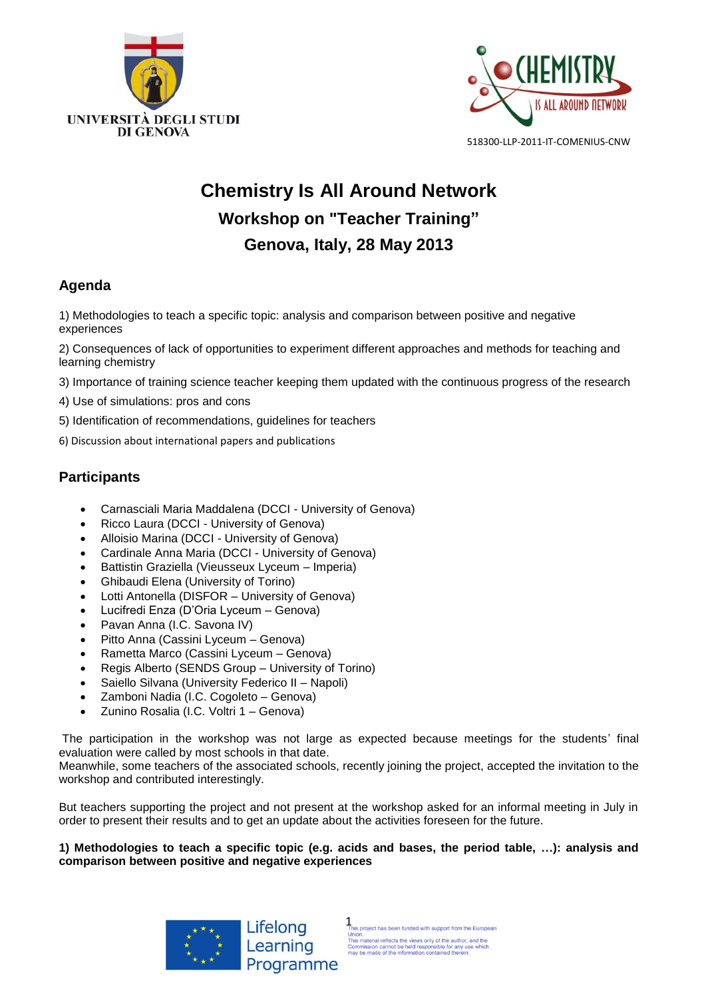



# **Chemistry Is All Around Network Workshop on "Teacher Training" Genova, Italy, 28 May 2013**

# **Agenda**

1) Methodologies to teach a specific topic: analysis and comparison between positive and negative experiences

2) Consequences of lack of opportunities to experiment different approaches and methods for teaching and learning chemistry

3) Importance of training science teacher keeping them updated with the continuous progress of the research

- 4) Use of simulations: pros and cons
- 5) Identification of recommendations, guidelines for teachers
- 6) Discussion about international papers and publications

# **Participants**

- Carnasciali Maria Maddalena (DCCI University of Genova)
- Ricco Laura (DCCI University of Genova)
- Alloisio Marina (DCCI University of Genova)
- Cardinale Anna Maria (DCCI University of Genova)
- Battistin Graziella (Vieusseux Lyceum Imperia)
- Ghibaudi Elena (University of Torino)
- Lotti Antonella (DISFOR University of Genova)
- Lucifredi Enza (D'Oria Lyceum Genova)
- Pavan Anna (I.C. Savona IV)
- Pitto Anna (Cassini Lyceum Genova)
- Rametta Marco (Cassini Lyceum Genova)
- Regis Alberto (SENDS Group University of Torino)
- Saiello Silvana (University Federico II Napoli)
- Zamboni Nadia (I.C. Cogoleto Genova)
- Zunino Rosalia (I.C. Voltri 1 Genova)

The participation in the workshop was not large as expected because meetings for the students' final evaluation were called by most schools in that date.

Meanwhile, some teachers of the associated schools, recently joining the project, accepted the invitation to the workshop and contributed interestingly.

But teachers supporting the project and not present at the workshop asked for an informal meeting in July in order to present their results and to get an update about the activities foreseen for the future.

# **1) Methodologies to teach a specific topic (e.g. acids and bases, the period table, …): analysis and comparison between positive and negative experiences**

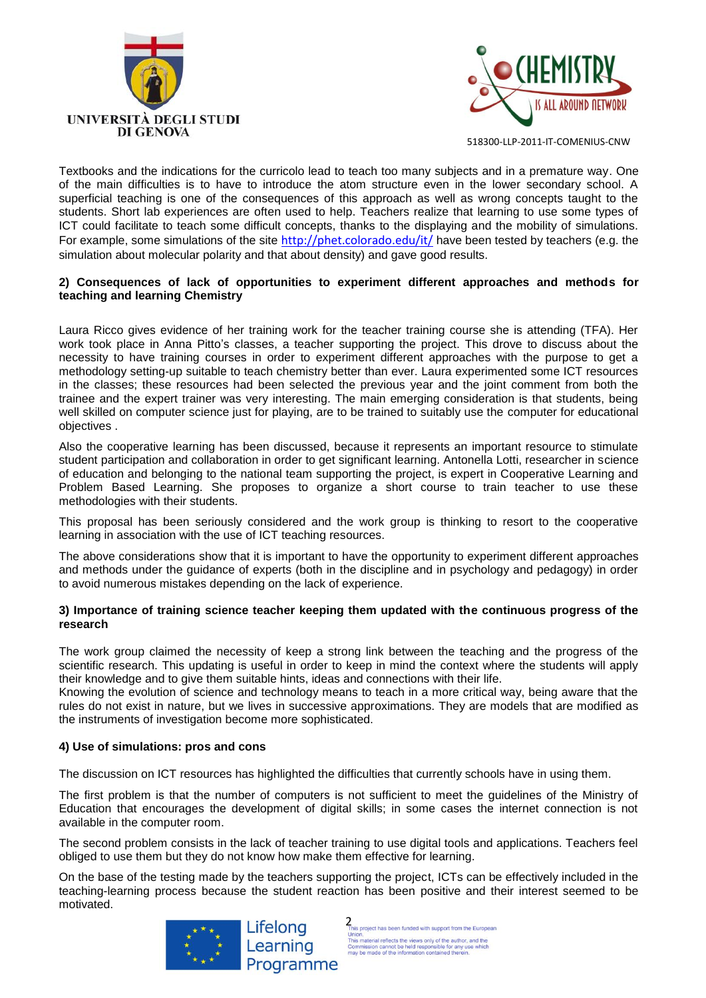



Textbooks and the indications for the curricolo lead to teach too many subjects and in a premature way. One of the main difficulties is to have to introduce the atom structure even in the lower secondary school. A superficial teaching is one of the consequences of this approach as well as wrong concepts taught to the students. Short lab experiences are often used to help. Teachers realize that learning to use some types of ICT could facilitate to teach some difficult concepts, thanks to the displaying and the mobility of simulations. For example, some simulations of the site <http://phet.colorado.edu/it/> have been tested by teachers (e.g. the simulation about molecular polarity and that about density) and gave good results.

# **2) Consequences of lack of opportunities to experiment different approaches and methods for teaching and learning Chemistry**

Laura Ricco gives evidence of her training work for the teacher training course she is attending (TFA). Her work took place in Anna Pitto's classes, a teacher supporting the project. This drove to discuss about the necessity to have training courses in order to experiment different approaches with the purpose to get a methodology setting-up suitable to teach chemistry better than ever. Laura experimented some ICT resources in the classes; these resources had been selected the previous year and the joint comment from both the trainee and the expert trainer was very interesting. The main emerging consideration is that students, being well skilled on computer science just for playing, are to be trained to suitably use the computer for educational objectives .

Also the cooperative learning has been discussed, because it represents an important resource to stimulate student participation and collaboration in order to get significant learning. Antonella Lotti, researcher in science of education and belonging to the national team supporting the project, is expert in Cooperative Learning and Problem Based Learning. She proposes to organize a short course to train teacher to use these methodologies with their students.

This proposal has been seriously considered and the work group is thinking to resort to the cooperative learning in association with the use of ICT teaching resources.

The above considerations show that it is important to have the opportunity to experiment different approaches and methods under the guidance of experts (both in the discipline and in psychology and pedagogy) in order to avoid numerous mistakes depending on the lack of experience.

## **3) Importance of training science teacher keeping them updated with the continuous progress of the research**

The work group claimed the necessity of keep a strong link between the teaching and the progress of the scientific research. This updating is useful in order to keep in mind the context where the students will apply their knowledge and to give them suitable hints, ideas and connections with their life.

Knowing the evolution of science and technology means to teach in a more critical way, being aware that the rules do not exist in nature, but we lives in successive approximations. They are models that are modified as the instruments of investigation become more sophisticated.

# **4) Use of simulations: pros and cons**

The discussion on ICT resources has highlighted the difficulties that currently schools have in using them.

The first problem is that the number of computers is not sufficient to meet the guidelines of the Ministry of Education that encourages the development of digital skills; in some cases the internet connection is not available in the computer room.

The second problem consists in the lack of teacher training to use digital tools and applications. Teachers feel obliged to use them but they do not know how make them effective for learning.

On the base of the testing made by the teachers supporting the project, ICTs can be effectively included in the teaching-learning process because the student reaction has been positive and their interest seemed to be motivated.



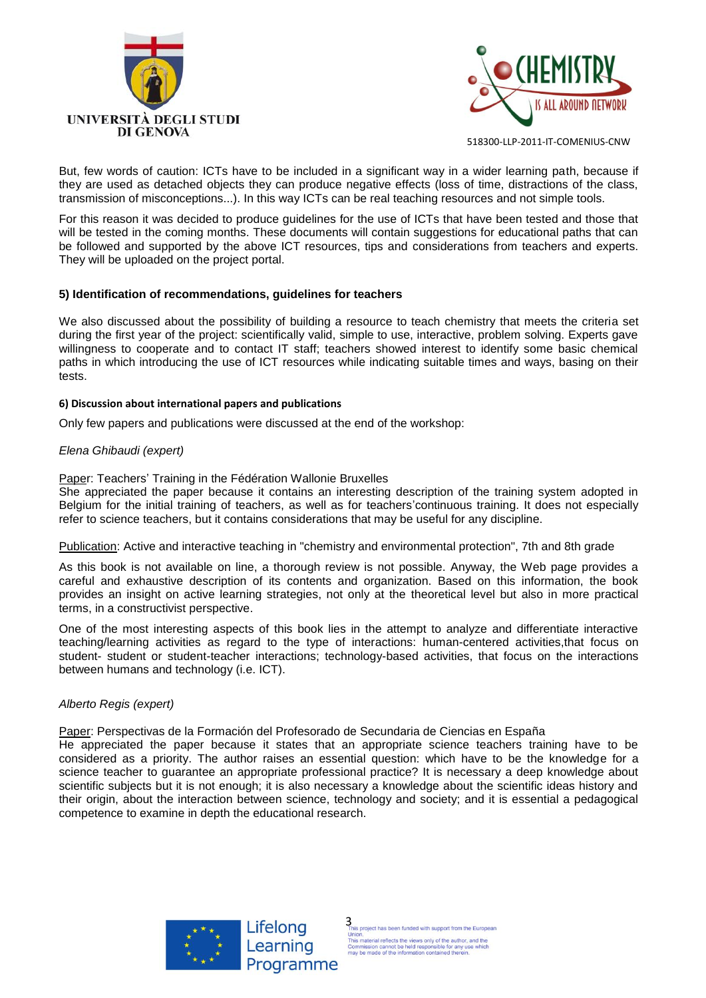



But, few words of caution: ICTs have to be included in a significant way in a wider learning path, because if they are used as detached objects they can produce negative effects (loss of time, distractions of the class, transmission of misconceptions...). In this way ICTs can be real teaching resources and not simple tools.

For this reason it was decided to produce guidelines for the use of ICTs that have been tested and those that will be tested in the coming months. These documents will contain suggestions for educational paths that can be followed and supported by the above ICT resources, tips and considerations from teachers and experts. They will be uploaded on the project portal.

## **5) Identification of recommendations, guidelines for teachers**

We also discussed about the possibility of building a resource to teach chemistry that meets the criteria set during the first year of the project: scientifically valid, simple to use, interactive, problem solving. Experts gave willingness to cooperate and to contact IT staff; teachers showed interest to identify some basic chemical paths in which introducing the use of ICT resources while indicating suitable times and ways, basing on their tests.

#### **6) Discussion about international papers and publications**

Only few papers and publications were discussed at the end of the workshop:

## *Elena Ghibaudi (expert)*

Paper: Teachers' Training in the Fédération Wallonie Bruxelles

She appreciated the paper because it contains an interesting description of the training system adopted in Belgium for the initial training of teachers, as well as for teachers'continuous training. It does not especially refer to science teachers, but it contains considerations that may be useful for any discipline.

Publication: Active and interactive teaching in "chemistry and environmental protection", 7th and 8th grade

As this book is not available on line, a thorough review is not possible. Anyway, the Web page provides a careful and exhaustive description of its contents and organization. Based on this information, the book provides an insight on active learning strategies, not only at the theoretical level but also in more practical terms, in a constructivist perspective.

One of the most interesting aspects of this book lies in the attempt to analyze and differentiate interactive teaching/learning activities as regard to the type of interactions: human-centered activities,that focus on student- student or student-teacher interactions; technology-based activities, that focus on the interactions between humans and technology (i.e. ICT).

#### *Alberto Regis (expert)*

Paper: Perspectivas de la Formación del Profesorado de Secundaria de Ciencias en España

He appreciated the paper because it states that an appropriate science teachers training have to be considered as a priority. The author raises an essential question: which have to be the knowledge for a science teacher to guarantee an appropriate professional practice? It is necessary a deep knowledge about scientific subjects but it is not enough; it is also necessary a knowledge about the scientific ideas history and their origin, about the interaction between science, technology and society; and it is essential a pedagogical competence to examine in depth the educational research.



 $\frac{1}{2}$  This project has been funded with support from the European Union.<br>This material reflects the views only of the author, and the Commission cannot be held responsible for any use which may be made of the informat